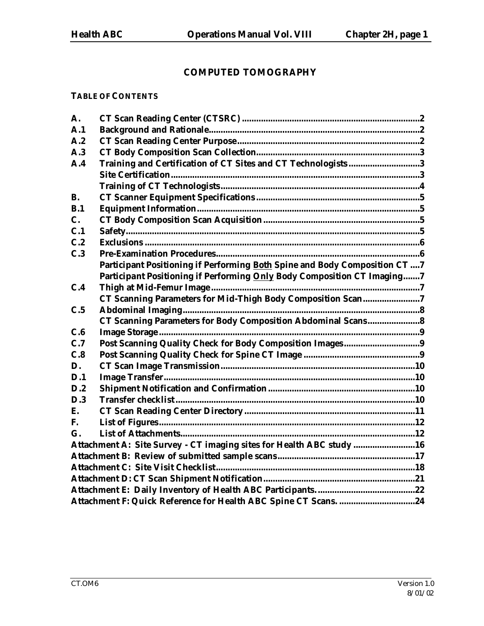# **COMPUTED TOMOGRAPHY**

### **TABLE OF CONTENTS**

| A.          |                                                                             |  |
|-------------|-----------------------------------------------------------------------------|--|
| A.1         |                                                                             |  |
| A.2         |                                                                             |  |
| A.3         |                                                                             |  |
| A.4         | Training and Certification of CT Sites and CT Technologists3                |  |
|             |                                                                             |  |
|             |                                                                             |  |
| <b>B.</b>   |                                                                             |  |
| B.1         |                                                                             |  |
| $C_{\cdot}$ |                                                                             |  |
| C.1         |                                                                             |  |
| C.2         |                                                                             |  |
| C.3         |                                                                             |  |
|             | Participant Positioning if Performing Both Spine and Body Composition CT  7 |  |
|             | Participant Positioning if Performing Only Body Composition CT Imaging7     |  |
| C.4         |                                                                             |  |
|             | CT Scanning Parameters for Mid-Thigh Body Composition Scan7                 |  |
| C.5         |                                                                             |  |
|             |                                                                             |  |
| C.6         |                                                                             |  |
| C.7         |                                                                             |  |
| C.8         |                                                                             |  |
| D.          |                                                                             |  |
| D.1         |                                                                             |  |
| D.2         |                                                                             |  |
| D.3         |                                                                             |  |
| E.          |                                                                             |  |
| F.          |                                                                             |  |
| G.          |                                                                             |  |
|             | Attachment A: Site Survey - CT imaging sites for Health ABC study 16        |  |
|             |                                                                             |  |
|             |                                                                             |  |
|             |                                                                             |  |
|             |                                                                             |  |
|             |                                                                             |  |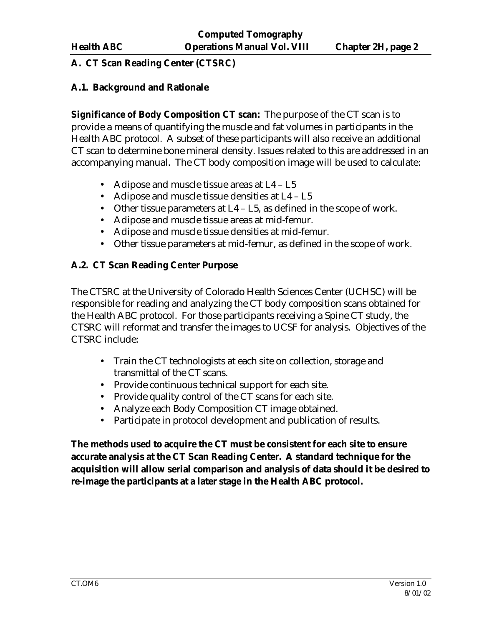### **A. CT Scan Reading Center (CTSRC)**

#### **A.1. Background and Rationale**

**Significance of Body Composition CT scan:** The purpose of the CT scan is to provide a means of quantifying the muscle and fat volumes in participants in the Health ABC protocol. A subset of these participants will also receive an additional CT scan to determine bone mineral density. Issues related to this are addressed in an accompanying manual. The CT body composition image will be used to calculate:

- Adipose and muscle tissue areas at L4 L5
- Adipose and muscle tissue densities at L4 L5
- Other tissue parameters at L4 L5, as defined in the scope of work.
- Adipose and muscle tissue areas at mid-femur.
- Adipose and muscle tissue densities at mid-femur.
- Other tissue parameters at mid-femur, as defined in the scope of work.

# **A.2. CT Scan Reading Center Purpose**

The CTSRC at the University of Colorado Health Sciences Center (UCHSC) will be responsible for reading and analyzing the CT body composition scans obtained for the Health ABC protocol. For those participants receiving a Spine CT study, the CTSRC will reformat and transfer the images to UCSF for analysis. Objectives of the CTSRC include:

- Train the CT technologists at each site on collection, storage and transmittal of the CT scans.
- Provide continuous technical support for each site.
- Provide quality control of the CT scans for each site.
- Analyze each Body Composition CT image obtained.
- Participate in protocol development and publication of results.

**The methods used to acquire the CT must be consistent for each site to ensure accurate analysis at the CT Scan Reading Center. A standard technique for the acquisition will allow serial comparison and analysis of data should it be desired to re-image the participants at a later stage in the Health ABC protocol.**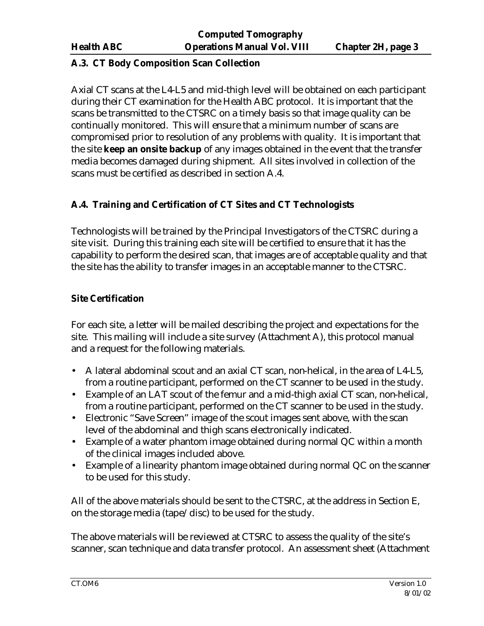#### **A.3. CT Body Composition Scan Collection**

Axial CT scans at the L4-L5 and mid-thigh level will be obtained on each participant during their CT examination for the Health ABC protocol. It is important that the scans be transmitted to the CTSRC on a timely basis so that image quality can be continually monitored. This will ensure that a minimum number of scans are compromised prior to resolution of any problems with quality. It is important that the site **keep an onsite backup** of any images obtained in the event that the transfer media becomes damaged during shipment. All sites involved in collection of the scans must be certified as described in section A.4.

# **A.4. Training and Certification of CT Sites and CT Technologists**

Technologists will be trained by the Principal Investigators of the CTSRC during a site visit. During this training each site will be certified to ensure that it has the capability to perform the desired scan, that images are of acceptable quality and that the site has the ability to transfer images in an acceptable manner to the CTSRC.

# **Site Certification**

For each site, a letter will be mailed describing the project and expectations for the site. This mailing will include a site survey (Attachment A), this protocol manual and a request for the following materials.

- A lateral abdominal scout and an axial CT scan, non-helical, in the area of L4-L5, from a routine participant, performed on the CT scanner to be used in the study.
- Example of an LAT scout of the femur and a mid-thigh axial CT scan, non-helical, from a routine participant, performed on the CT scanner to be used in the study.
- Electronic "Save Screen" image of the scout images sent above, with the scan level of the abdominal and thigh scans electronically indicated.
- Example of a water phantom image obtained during normal QC within a month of the clinical images included above.
- Example of a linearity phantom image obtained during normal QC on the scanner to be used for this study.

All of the above materials should be sent to the CTSRC, at the address in Section E, on the storage media (tape/disc) to be used for the study.

The above materials will be reviewed at CTSRC to assess the quality of the site's scanner, scan technique and data transfer protocol. An assessment sheet (Attachment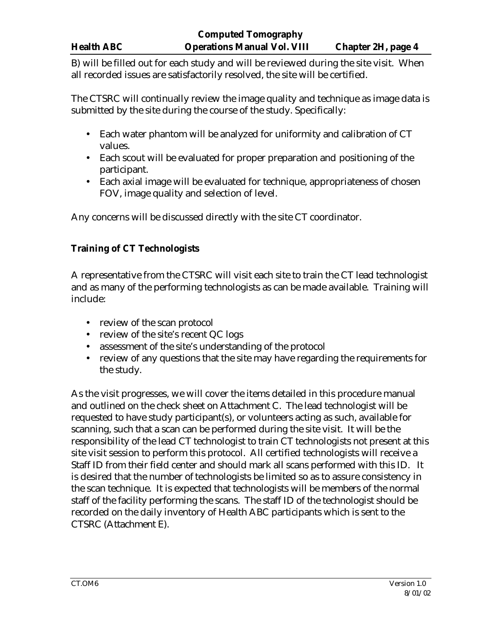# **Computed Tomography Health ABC Operations Manual Vol. VIII Chapter 2H, page 4**

B) will be filled out for each study and will be reviewed during the site visit. When all recorded issues are satisfactorily resolved, the site will be certified.

The CTSRC will continually review the image quality and technique as image data is submitted by the site during the course of the study. Specifically:

- Each water phantom will be analyzed for uniformity and calibration of CT values.
- Each scout will be evaluated for proper preparation and positioning of the participant.
- Each axial image will be evaluated for technique, appropriateness of chosen FOV, image quality and selection of level.

Any concerns will be discussed directly with the site CT coordinator.

# **Training of CT Technologists**

A representative from the CTSRC will visit each site to train the CT lead technologist and as many of the performing technologists as can be made available. Training will include:

- review of the scan protocol
- review of the site's recent QC logs
- assessment of the site's understanding of the protocol
- review of any questions that the site may have regarding the requirements for the study.

As the visit progresses, we will cover the items detailed in this procedure manual and outlined on the check sheet on Attachment C. The lead technologist will be requested to have study participant(s), or volunteers acting as such, available for scanning, such that a scan can be performed during the site visit. It will be the responsibility of the lead CT technologist to train CT technologists not present at this site visit session to perform this protocol. All certified technologists will receive a Staff ID from their field center and should mark all scans performed with this ID. It is desired that the number of technologists be limited so as to assure consistency in the scan technique. It is expected that technologists will be members of the normal staff of the facility performing the scans. The staff ID of the technologist should be recorded on the daily inventory of Health ABC participants which is sent to the CTSRC (Attachment E).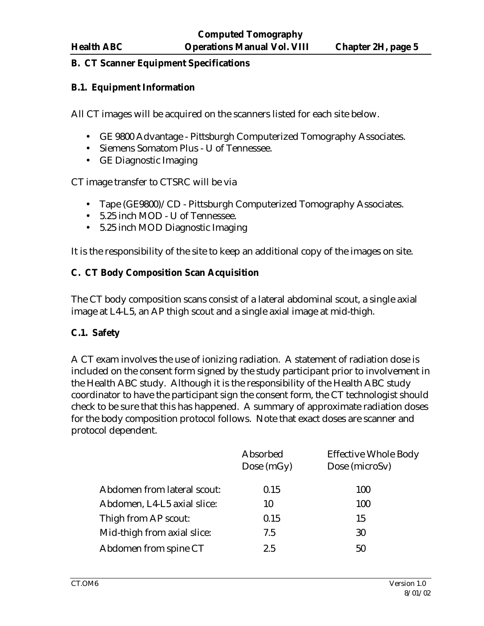#### **B. CT Scanner Equipment Specifications**

#### **B.1. Equipment Information**

All CT images will be acquired on the scanners listed for each site below.

- GE 9800 Advantage Pittsburgh Computerized Tomography Associates.
- Siemens Somatom Plus U of Tennessee.
- GE Diagnostic Imaging

CT image transfer to CTSRC will be via

- Tape (GE9800)/CD Pittsburgh Computerized Tomography Associates.
- 5.25 inch MOD U of Tennessee.
- 5.25 inch MOD Diagnostic Imaging

It is the responsibility of the site to keep an additional copy of the images on site.

### **C. CT Body Composition Scan Acquisition**

The CT body composition scans consist of a lateral abdominal scout, a single axial image at L4-L5, an AP thigh scout and a single axial image at mid-thigh.

### **C.1. Safety**

A CT exam involves the use of ionizing radiation. A statement of radiation dose is included on the consent form signed by the study participant prior to involvement in the Health ABC study. Although it is the responsibility of the Health ABC study coordinator to have the participant sign the consent form, the CT technologist should check to be sure that this has happened. A summary of approximate radiation doses for the body composition protocol follows. Note that exact doses are scanner and protocol dependent.

|                             | Absorbed<br>Dose $(mGy)$ | <b>Effective Whole Body</b><br>Dose (microSv) |
|-----------------------------|--------------------------|-----------------------------------------------|
| Abdomen from lateral scout: | 0.15                     | 100                                           |
| Abdomen, L4-L5 axial slice: | 10                       | 100                                           |
| Thigh from AP scout:        | 0.15                     | 15                                            |
| Mid-thigh from axial slice: | 7.5                      | 30                                            |
| Abdomen from spine CT       | 2.5                      | 50                                            |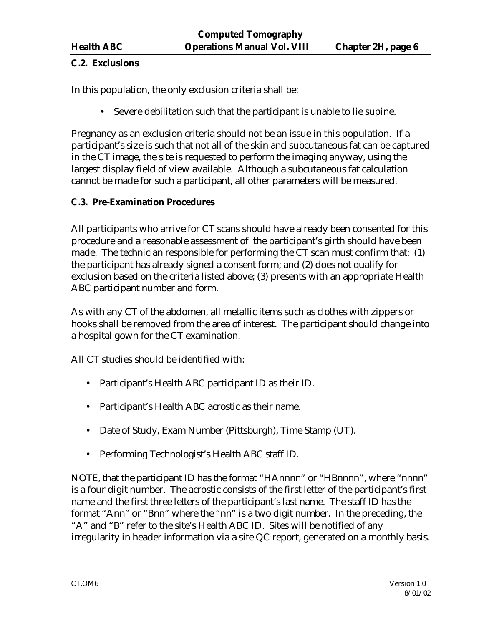### **C.2. Exclusions**

In this population, the only exclusion criteria shall be:

• Severe debilitation such that the participant is unable to lie supine.

Pregnancy as an exclusion criteria should not be an issue in this population. If a participant's size is such that not all of the skin and subcutaneous fat can be captured in the CT image, the site is requested to perform the imaging anyway, using the largest display field of view available. Although a subcutaneous fat calculation cannot be made for such a participant, all other parameters will be measured.

# **C.3. Pre-Examination Procedures**

All participants who arrive for CT scans should have already been consented for this procedure and a reasonable assessment of the participant's girth should have been made. The technician responsible for performing the CT scan must confirm that: (1) the participant has already signed a consent form; and (2) does not qualify for exclusion based on the criteria listed above; (3) presents with an appropriate Health ABC participant number and form.

As with any CT of the abdomen, all metallic items such as clothes with zippers or hooks shall be removed from the area of interest. The participant should change into a hospital gown for the CT examination.

All CT studies should be identified with:

- Participant's Health ABC participant ID as their ID.
- Participant's Health ABC acrostic as their name.
- Date of Study, Exam Number (Pittsburgh), Time Stamp (UT).
- Performing Technologist's Health ABC staff ID.

NOTE, that the participant ID has the format "HAnnnn" or "HBnnnn", where "nnnn" is a four digit number. The acrostic consists of the first letter of the participant's first name and the first three letters of the participant's last name. The staff ID has the format "Ann" or "Bnn" where the "nn" is a two digit number. In the preceding, the "A" and "B" refer to the site's Health ABC ID. Sites will be notified of any irregularity in header information via a site QC report, generated on a monthly basis.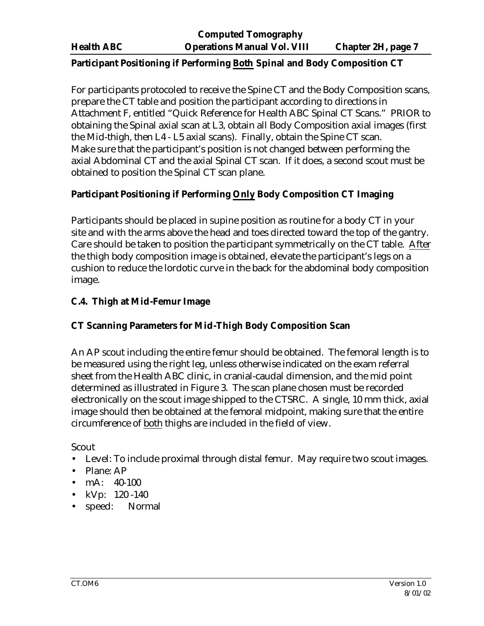#### **Participant Positioning if Performing Both Spinal and Body Composition CT**

For participants protocoled to receive the Spine CT and the Body Composition scans, prepare the CT table and position the participant according to directions in Attachment F, entitled "Quick Reference for Health ABC Spinal CT Scans." PRIOR to obtaining the Spinal axial scan at L3, obtain all Body Composition axial images (first the Mid-thigh, then L4 - L5 axial scans). Finally, obtain the Spine CT scan. Make sure that the participant's position is not changed between performing the axial Abdominal CT and the axial Spinal CT scan. If it does, a second scout must be obtained to position the Spinal CT scan plane.

### **Participant Positioning if Performing Only Body Composition CT Imaging**

Participants should be placed in supine position as routine for a body CT in your site and with the arms above the head and toes directed toward the top of the gantry. Care should be taken to position the participant symmetrically on the CT table. After the thigh body composition image is obtained, elevate the participant's legs on a cushion to reduce the lordotic curve in the back for the abdominal body composition image.

# **C.4. Thigh at Mid-Femur Image**

### **CT Scanning Parameters for Mid-Thigh Body Composition Scan**

An AP scout including the entire femur should be obtained. The femoral length is to be measured using the right leg, unless otherwise indicated on the exam referral sheet from the Health ABC clinic, in cranial-caudal dimension, and the mid point determined as illustrated in Figure 3. The scan plane chosen must be recorded electronically on the scout image shipped to the CTSRC. A single, 10 mm thick, axial image should then be obtained at the femoral midpoint, making sure that the entire circumference of both thighs are included in the field of view.

Scout

- Level: To include proximal through distal femur. May require two scout images.
- Plane: AP
- mA: 40-100
- $kVp: 120 140$
- speed: Normal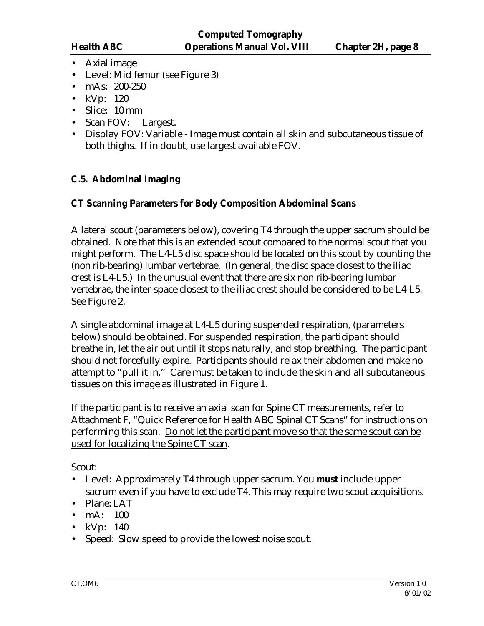- Axial image
- Level: Mid femur (see Figure 3)
- mAs: 200-250
- kVp: 120
- Slice: 10 mm
- Scan FOV: Largest.
- Display FOV: Variable Image must contain all skin and subcutaneous tissue of both thighs. If in doubt, use largest available FOV.

### **C.5. Abdominal Imaging**

#### **CT Scanning Parameters for Body Composition Abdominal Scans**

A lateral scout (parameters below), covering T4 through the upper sacrum should be obtained. Note that this is an extended scout compared to the normal scout that you might perform. The L4-L5 disc space should be located on this scout by counting the (non rib-bearing) lumbar vertebrae. (In general, the disc space closest to the iliac crest is L4-L5.) In the unusual event that there are six non rib-bearing lumbar vertebrae, the inter-space closest to the iliac crest should be considered to be L4-L5. See Figure 2.

A single abdominal image at L4-L5 during suspended respiration, (parameters below) should be obtained. For suspended respiration, the participant should breathe in, let the air out until it stops naturally, and stop breathing. The participant should not forcefully expire. Participants should relax their abdomen and make no attempt to "pull it in." Care must be taken to include the skin and all subcutaneous tissues on this image as illustrated in Figure 1.

If the participant is to receive an axial scan for Spine CT measurements, refer to Attachment F, "Quick Reference for Health ABC Spinal CT Scans" for instructions on performing this scan. Do not let the participant move so that the same scout can be used for localizing the Spine CT scan.

Scout:

- Level: Approximately T4 through upper sacrum. You **must** include upper sacrum even if you have to exclude T4. This may require two scout acquisitions.
- Plane: LAT
- mA: 100
- kVp: 140
- Speed: Slow speed to provide the lowest noise scout.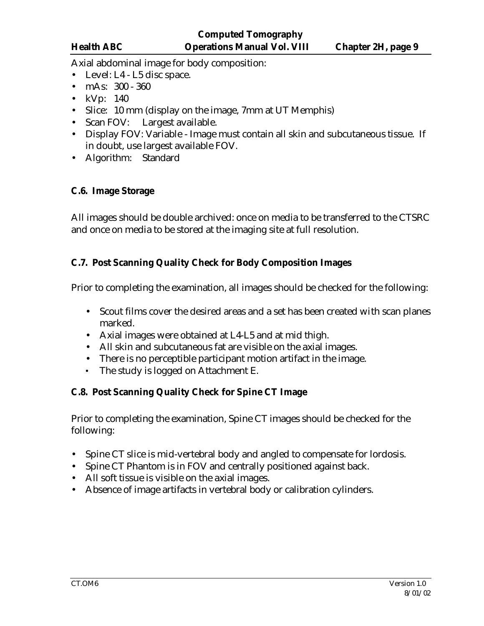Axial abdominal image for body composition:

- Level: L4 L5 disc space.
- mAs: 300 360
- kVp: 140
- Slice: 10 mm (display on the image, 7 mm at UT Memphis)
- Scan FOV: Largest available.
- Display FOV: Variable Image must contain all skin and subcutaneous tissue. If in doubt, use largest available FOV.
- Algorithm: Standard

# **C.6. Image Storage**

All images should be double archived: once on media to be transferred to the CTSRC and once on media to be stored at the imaging site at full resolution.

# **C.7. Post Scanning Quality Check for Body Composition Images**

Prior to completing the examination, all images should be checked for the following:

- Scout films cover the desired areas and a set has been created with scan planes marked.
- Axial images were obtained at L4-L5 and at mid thigh.
- All skin and subcutaneous fat are visible on the axial images.
- There is no perceptible participant motion artifact in the image.
- The study is logged on Attachment E.

# **C.8. Post Scanning Quality Check for Spine CT Image**

Prior to completing the examination, Spine CT images should be checked for the following:

- Spine CT slice is mid-vertebral body and angled to compensate for lordosis.
- Spine CT Phantom is in FOV and centrally positioned against back.
- All soft tissue is visible on the axial images.
- Absence of image artifacts in vertebral body or calibration cylinders.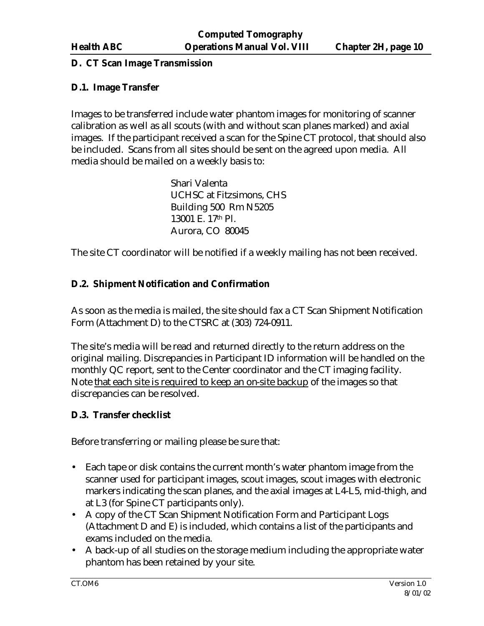#### **D. CT Scan Image Transmission**

#### **D.1. Image Transfer**

Images to be transferred include water phantom images for monitoring of scanner calibration as well as all scouts (with and without scan planes marked) and axial images. If the participant received a scan for the Spine CT protocol, that should also be included. Scans from all sites should be sent on the agreed upon media. All media should be mailed on a weekly basis to:

> Shari Valenta UCHSC at Fitzsimons, CHS Building 500 Rm N5205 13001 E. 17th Pl. Aurora, CO 80045

The site CT coordinator will be notified if a weekly mailing has not been received.

### **D.2. Shipment Notification and Confirmation**

As soon as the media is mailed, the site should fax a CT Scan Shipment Notification Form (Attachment D) to the CTSRC at (303) 724-0911.

The site's media will be read and returned directly to the return address on the original mailing. Discrepancies in Participant ID information will be handled on the monthly QC report, sent to the Center coordinator and the CT imaging facility. Note that each site is required to keep an on-site backup of the images so that discrepancies can be resolved.

### **D.3. Transfer checklist**

Before transferring or mailing please be sure that:

- Each tape or disk contains the current month's water phantom image from the scanner used for participant images, scout images, scout images with electronic markers indicating the scan planes, and the axial images at L4-L5, mid-thigh, and at L3 (for Spine CT participants only).
- A copy of the CT Scan Shipment Notification Form and Participant Logs (Attachment D and E) is included, which contains a list of the participants and exams included on the media.
- A back-up of all studies on the storage medium including the appropriate water phantom has been retained by your site.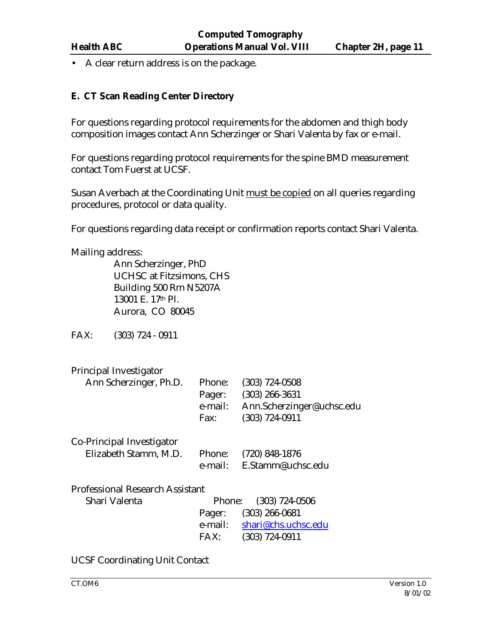• A clear return address is on the package.

#### **E. CT Scan Reading Center Directory**

For questions regarding protocol requirements for the abdomen and thigh body composition images contact Ann Scherzinger or Shari Valenta by fax or e-mail.

For questions regarding protocol requirements for the spine BMD measurement contact Tom Fuerst at UCSF.

Susan Averbach at the Coordinating Unit must be copied on all queries regarding procedures, protocol or data quality.

For questions regarding data receipt or confirmation reports contact Shari Valenta.

Mailing address:

Ann Scherzinger, PhD UCHSC at Fitzsimons, CHS Building 500 Rm N5207A 13001 E. 17th Pl. Aurora, CO 80045

FAX: (303) 724 - 0911

| Principal Investigator                 |         |                           |
|----------------------------------------|---------|---------------------------|
| Ann Scherzinger, Ph.D.                 | Phone:  | $(303)$ 724-0508          |
|                                        | Pager:  | $(303)$ 266-3631          |
|                                        | e-mail: | Ann.Scherzinger@uchsc.edu |
|                                        | Fax:    | $(303) 724 - 0911$        |
| Co-Principal Investigator              |         |                           |
| Elizabeth Stamm, M.D.                  | Phone:  | $(720)$ 848-1876          |
|                                        |         | e-mail: E.Stamm@uchsc.edu |
| <b>Professional Research Assistant</b> |         |                           |
| Shari Valenta                          | Phone:  | $(303) 724 - 0506$        |
|                                        | Pager:  | $(303)$ 266-0681          |
|                                        | e-mail: | shari@chs.uchsc.edu       |
|                                        | FAX:    | (303) 724-0911            |

UCSF Coordinating Unit Contact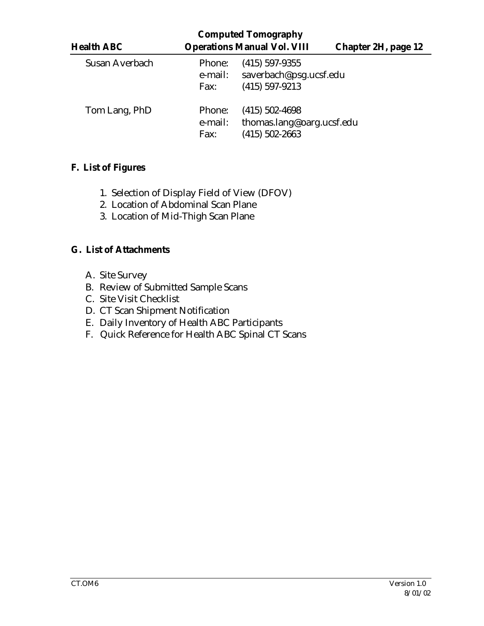|                   |                           | <b>Computed Tomography</b>                                        |                            |
|-------------------|---------------------------|-------------------------------------------------------------------|----------------------------|
| <b>Health ABC</b> |                           | <b>Operations Manual Vol. VIII</b>                                | <b>Chapter 2H, page 12</b> |
| Susan Averbach    | Phone:<br>e-mail:<br>Fax: | $(415)$ 597-9355<br>saverbach@psg.ucsf.edu<br>$(415)$ 597-9213    |                            |
| Tom Lang, PhD     | Phone:<br>e-mail:<br>Fax: | $(415)$ 502-4698<br>thomas.lang@oarg.ucsf.edu<br>$(415)$ 502-2663 |                            |

# **F. List of Figures**

- 1. Selection of Display Field of View (DFOV)
- 2. Location of Abdominal Scan Plane
- 3. Location of Mid-Thigh Scan Plane

### **G. List of Attachments**

- A. Site Survey
- B. Review of Submitted Sample Scans
- C. Site Visit Checklist
- D. CT Scan Shipment Notification
- E. Daily Inventory of Health ABC Participants
- F. Quick Reference for Health ABC Spinal CT Scans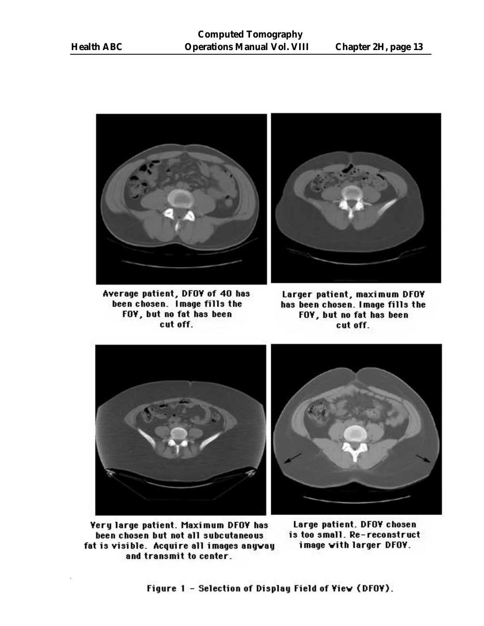

Average patient, DFOY of 40 has been chosen. Image fills the FOY, but no fat has been cut off.



Larger patient, maximum DFOY has been chosen. Image fills the FOY, but no fat has been cut off.



**Yery large patient. Maximum DFOY has** been chosen but not all subcutaneous fat is visible. Acquire all images anyway and transmit to center.

Large patient. DFOY chosen is too small. Re-reconstruct image with larger DFOY.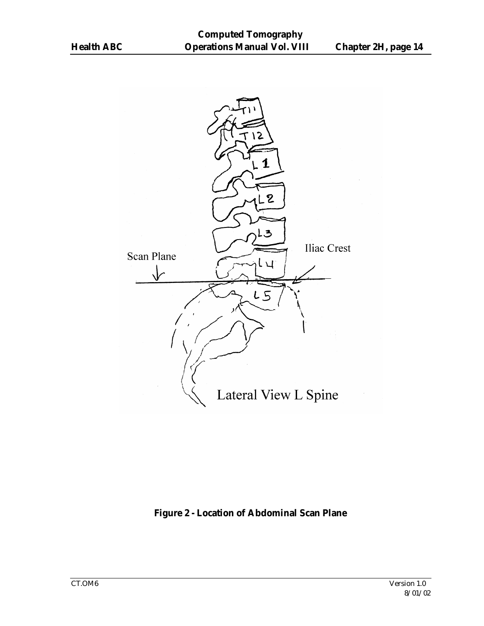

**Figure 2 - Location of Abdominal Scan Plane**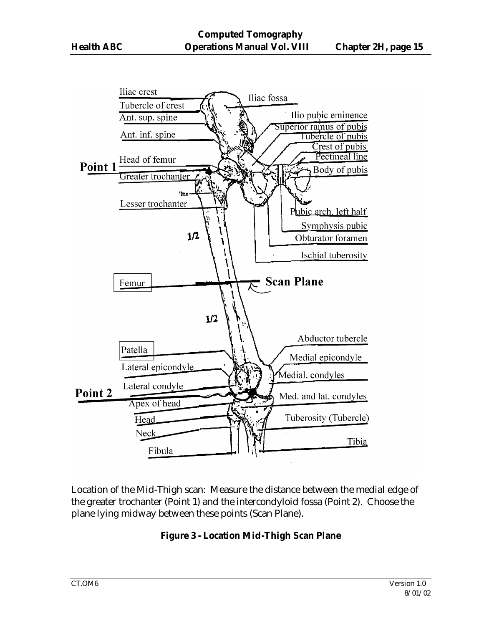

Location of the Mid-Thigh scan: Measure the distance between the medial edge of the greater trochanter (Point 1) and the intercondyloid fossa (Point 2). Choose the plane lying midway between these points (Scan Plane).

### **Figure 3 - Location Mid-Thigh Scan Plane**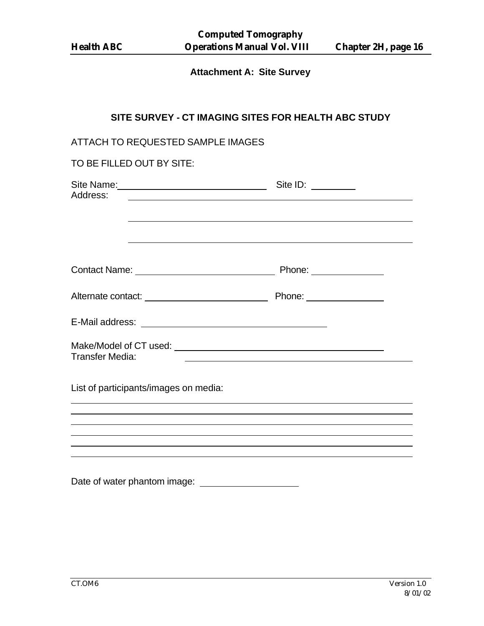# **Attachment A: Site Survey**

# **SITE SURVEY - CT IMAGING SITES FOR HEALTH ABC STUDY**

| ATTACH TO REQUESTED SAMPLE IMAGES                                                                               |                                                                                  |
|-----------------------------------------------------------------------------------------------------------------|----------------------------------------------------------------------------------|
| TO BE FILLED OUT BY SITE:                                                                                       |                                                                                  |
| Site Name: Site ID: Site ID: Site ID:<br>Address:<br><u> 1989 - John Stein, Amerikaansk politiker (</u> † 1920) | ,我们也不会有什么。""我们的人,我们也不会有什么?""我们的人,我们也不会有什么?""我们的人,我们也不会有什么?""我们的人,我们也不会有什么?""我们的人 |
|                                                                                                                 |                                                                                  |
|                                                                                                                 |                                                                                  |
|                                                                                                                 |                                                                                  |
| <b>Transfer Media:</b>                                                                                          |                                                                                  |
| List of participants/images on media:                                                                           |                                                                                  |
|                                                                                                                 |                                                                                  |
|                                                                                                                 |                                                                                  |
| Date of water phantom image:                                                                                    |                                                                                  |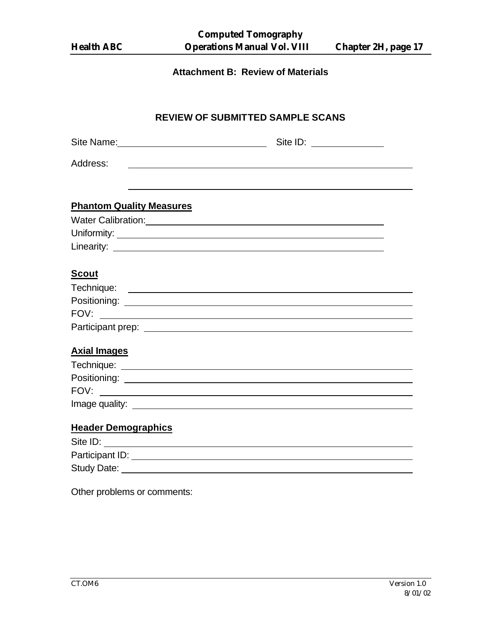| <b>Health ABC</b>                                                     | <b>Computed Tomography</b><br><b>Operations Manual Vol. VIII</b>                                                      | <b>Chapter 2H, page 17</b> |
|-----------------------------------------------------------------------|-----------------------------------------------------------------------------------------------------------------------|----------------------------|
|                                                                       | <b>Attachment B: Review of Materials</b>                                                                              |                            |
|                                                                       | <b>REVIEW OF SUBMITTED SAMPLE SCANS</b>                                                                               |                            |
|                                                                       | Site ID: _______________                                                                                              |                            |
| Address:                                                              | <u> 1980 - Johann Stoff, deutscher Stoff, der Stoff, der Stoff, der Stoff, der Stoff, der Stoff, der Stoff, der S</u> |                            |
| <b>Phantom Quality Measures</b>                                       |                                                                                                                       |                            |
| <b>Scout</b>                                                          |                                                                                                                       |                            |
| FOV:                                                                  |                                                                                                                       |                            |
| <b>Axial Images</b><br>Positioning:<br>FOV:<br>Image quality: _______ |                                                                                                                       |                            |
| <b>Header Demographics</b>                                            |                                                                                                                       |                            |
| Site ID:                                                              |                                                                                                                       |                            |
|                                                                       |                                                                                                                       |                            |

Other problems or comments: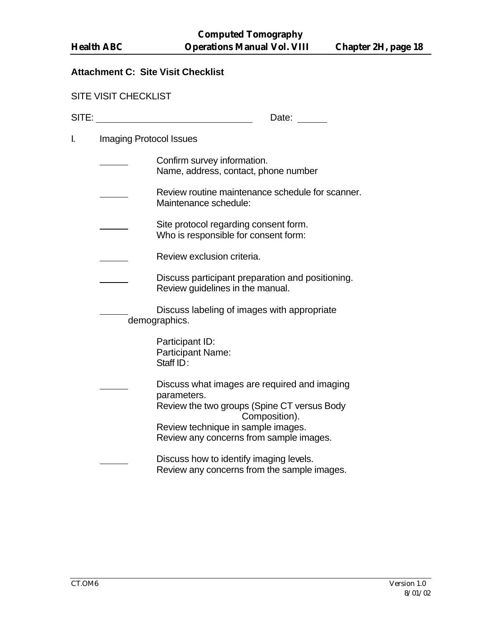#### **Attachment C: Site Visit Checklist**

| <b>SITE VISIT CHECKLIST</b> |  |  |  |  |
|-----------------------------|--|--|--|--|
|-----------------------------|--|--|--|--|

| <b>CITE</b><br>31 I E. | <b>Bala</b><br>⊃aτe: |
|------------------------|----------------------|
|                        |                      |

I. Imaging Protocol Issues

| Confirm survey information.          |
|--------------------------------------|
| Name, address, contact, phone number |

- Review routine maintenance schedule for scanner. Maintenance schedule:
- Site protocol regarding consent form. Who is responsible for consent form:
	- Review exclusion criteria.
	- Discuss participant preparation and positioning. Review guidelines in the manual.
		- Discuss labeling of images with appropriate demographics.

Participant ID: Participant Name: Staff ID:

Discuss what images are required and imaging parameters. Review the two groups (Spine CT versus Body Composition). Review technique in sample images. Review any concerns from sample images.

Discuss how to identify imaging levels. Review any concerns from the sample images.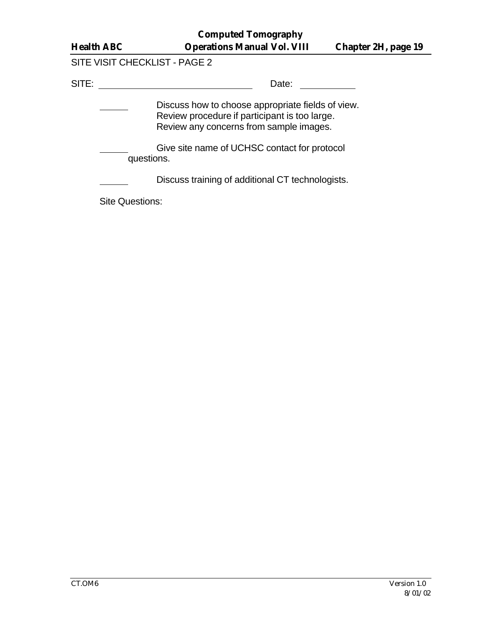| <b>Health ABC</b> |
|-------------------|
|-------------------|

# SITE VISIT CHECKLIST - PAGE 2

SITE: Date:

Discuss how to choose appropriate fields of view.  $\overline{\phantom{a}}$ Review procedure if participant is too large. Review any concerns from sample images.

Give site name of UCHSC contact for protocol questions.

Discuss training of additional CT technologists.

Site Questions: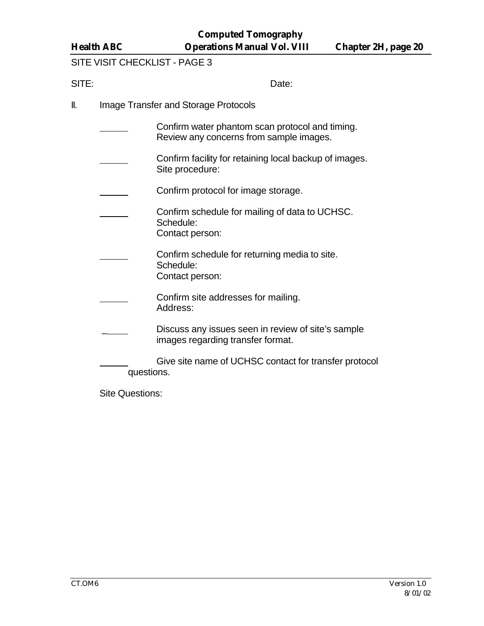SITE VISIT CHECKLIST - PAGE 3

SITE: Date:

- II. Image Transfer and Storage Protocols
	- Confirm water phantom scan protocol and timing. Review any concerns from sample images.
	- Confirm facility for retaining local backup of images. Site procedure:
	- Confirm protocol for image storage.
	- Confirm schedule for mailing of data to UCHSC. Schedule: Contact person:
	- Confirm schedule for returning media to site. Schedule: Contact person:
	- Confirm site addresses for mailing. Address:
	- Discuss any issues seen in review of site's sample images regarding transfer format.
	- Give site name of UCHSC contact for transfer protocol questions.

Site Questions: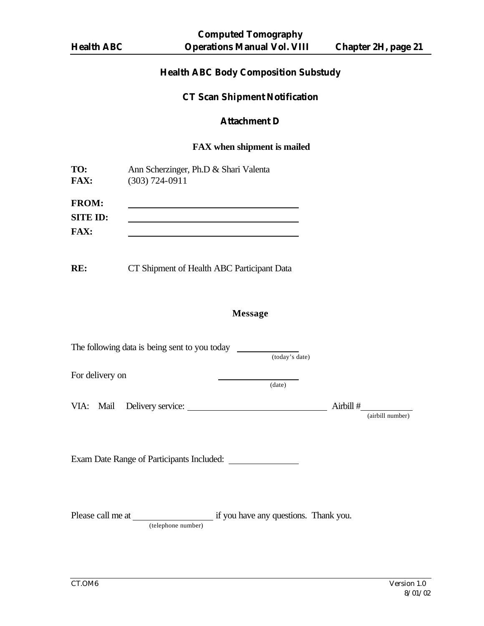# **Health ABC Body Composition Substudy**

#### **CT Scan Shipment Notification**

#### **Attachment D**

#### **FAX when shipment is mailed**

| TO:             | Ann Scherzinger, Ph.D & Shari Valenta |
|-----------------|---------------------------------------|
| <b>FAX:</b>     | $(303) 724 - 0911$                    |
|                 |                                       |
| <b>FROM:</b>    |                                       |
| <b>SITE ID:</b> |                                       |
| <b>FAX:</b>     |                                       |

**RE:** CT Shipment of Health ABC Participant Data

#### **Message**

| The following data is being sent to you today           |                |           |                  |
|---------------------------------------------------------|----------------|-----------|------------------|
|                                                         | (today's date) |           |                  |
| For delivery on                                         |                |           |                  |
|                                                         | (data)         |           |                  |
|                                                         |                | Airbill # |                  |
|                                                         |                |           | (airbill number) |
|                                                         |                |           |                  |
|                                                         |                |           |                  |
| Exam Date Range of Participants Included:               |                |           |                  |
|                                                         |                |           |                  |
|                                                         |                |           |                  |
| Please call me at if you have any questions. Thank you. |                |           |                  |
| (telephone number)                                      |                |           |                  |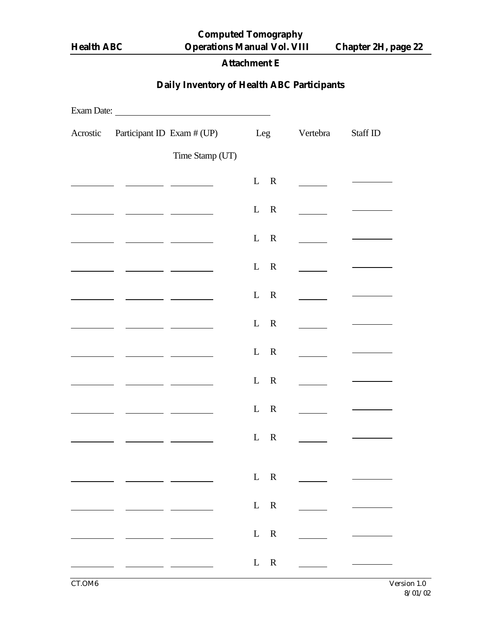**Computed Tomography Health ABC Operations Manual Vol. VIII Chapter 2H, page 22**

# **Attachment E**

# **Daily Inventory of Health ABC Participants**

| Acrostic Participant ID Exam # (UP) Leg |                                                  |       | Vertebra                                                  | Staff ID |
|-----------------------------------------|--------------------------------------------------|-------|-----------------------------------------------------------|----------|
|                                         | Time Stamp (UT)                                  |       |                                                           |          |
|                                         |                                                  | $L$ R | $\overline{\phantom{a}}$                                  |          |
|                                         | <u> 1989 - John Barnett, francuski politik (</u> | $L$ R | $\sim 10^{10}$ m $^{-1}$                                  |          |
|                                         |                                                  | $L$ R | $\sim 10^{10}$ m $^{-1}$                                  |          |
|                                         |                                                  | $L$ R | $\sim 10^{10}$ m $^{-1}$                                  |          |
|                                         |                                                  | $L$ R |                                                           |          |
|                                         |                                                  | $L$ R | $\sim$                                                    |          |
|                                         |                                                  | $L$ R |                                                           |          |
|                                         |                                                  | $L$ R | $\sim$                                                    |          |
|                                         |                                                  | $L$ R |                                                           |          |
|                                         |                                                  | $L$ R |                                                           |          |
|                                         | $\sim$                                           | $L$ R | <u> 1999 - Alban III, primeira populație de la primei</u> |          |
|                                         |                                                  | $L$ R | <u> 1999 - Alban III, primeira populație de la primei</u> |          |
|                                         |                                                  | $L$ R | <u> 1999 - Alban III, politik politik (</u>               |          |
|                                         |                                                  |       | $L \quad R \quad \qquad$                                  |          |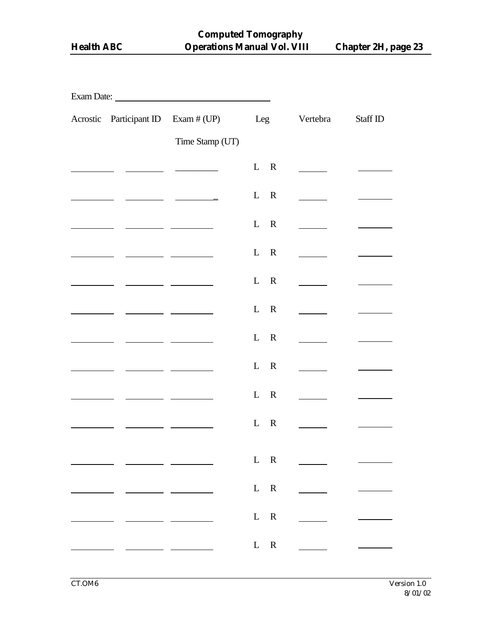|  |                                                                                                                                                                                                                                      | Acrostic Participant ID Exam # (UP)                                                                                                                                                                                                                                                                                                                                                                                    |                                | Leg Vertebra                | Staff ID |  |  |  |  |  |
|--|--------------------------------------------------------------------------------------------------------------------------------------------------------------------------------------------------------------------------------------|------------------------------------------------------------------------------------------------------------------------------------------------------------------------------------------------------------------------------------------------------------------------------------------------------------------------------------------------------------------------------------------------------------------------|--------------------------------|-----------------------------|----------|--|--|--|--|--|
|  |                                                                                                                                                                                                                                      | Time Stamp (UT)                                                                                                                                                                                                                                                                                                                                                                                                        |                                |                             |          |  |  |  |  |  |
|  |                                                                                                                                                                                                                                      | $\begin{tabular}{ccccc} \multicolumn{2}{c }{\textbf{1} & \textbf{2} & \textbf{3} & \textbf{4} & \textbf{5} & \textbf{5} & \textbf{6} & \textbf{6} & \textbf{7} & \textbf{8} & \textbf{8} & \textbf{9} & \textbf{10} & \textbf{10} & \textbf{10} & \textbf{10} & \textbf{10} & \textbf{10} & \textbf{10} & \textbf{10} & \textbf{10} & \textbf{10} & \textbf{10} & \textbf{10} & \textbf{10} & \textbf{10} & \textbf{1$ | $L$ R                          | $\sim$                      |          |  |  |  |  |  |
|  |                                                                                                                                                                                                                                      |                                                                                                                                                                                                                                                                                                                                                                                                                        | $\mathbf{L}$<br>$\overline{R}$ |                             |          |  |  |  |  |  |
|  |                                                                                                                                                                                                                                      |                                                                                                                                                                                                                                                                                                                                                                                                                        | $\mathbf{L}$<br>$\overline{R}$ | $\overline{\phantom{a}}$    |          |  |  |  |  |  |
|  |                                                                                                                                                                                                                                      |                                                                                                                                                                                                                                                                                                                                                                                                                        | $\mathbf{L}$<br>$\overline{R}$ |                             |          |  |  |  |  |  |
|  |                                                                                                                                                                                                                                      |                                                                                                                                                                                                                                                                                                                                                                                                                        | $\mathbf{L}$<br>$\overline{R}$ |                             |          |  |  |  |  |  |
|  |                                                                                                                                                                                                                                      |                                                                                                                                                                                                                                                                                                                                                                                                                        | $\mathbf{L}$<br>$\mathbb{R}$   | $\mathcal{L} = \mathcal{L}$ |          |  |  |  |  |  |
|  |                                                                                                                                                                                                                                      |                                                                                                                                                                                                                                                                                                                                                                                                                        | $\mathbf{L}$<br>$\mathbb{R}$   | $\mathcal{L} = \mathcal{L}$ |          |  |  |  |  |  |
|  | <u>and the state of the state of the state of the state of the state of the state of the state of the state of the state of the state of the state of the state of the state of the state of the state of the state of the state</u> | <u> The Community of the Community of the Community of the Community of the Community of the Community of the Community of the Community of the Community of the Community of the Community of the Community of the Community of</u>                                                                                                                                                                                   | $\mathbf{L}$<br>$\mathbb{R}$   |                             |          |  |  |  |  |  |
|  |                                                                                                                                                                                                                                      |                                                                                                                                                                                                                                                                                                                                                                                                                        | $\mathbf{L}$<br>$\mathbb{R}$   |                             |          |  |  |  |  |  |
|  |                                                                                                                                                                                                                                      |                                                                                                                                                                                                                                                                                                                                                                                                                        | L<br>$\mathbf R$               |                             |          |  |  |  |  |  |
|  |                                                                                                                                                                                                                                      | <u> 1980 - Jan Barat, politik e</u>                                                                                                                                                                                                                                                                                                                                                                                    | $L$ R                          |                             |          |  |  |  |  |  |
|  |                                                                                                                                                                                                                                      |                                                                                                                                                                                                                                                                                                                                                                                                                        | $L$ R                          | <u> 1990 - Jan Jawa</u>     |          |  |  |  |  |  |
|  |                                                                                                                                                                                                                                      |                                                                                                                                                                                                                                                                                                                                                                                                                        | ${\bf L} - {\bf R}$            | <u>a sa mga sa</u>          |          |  |  |  |  |  |
|  |                                                                                                                                                                                                                                      |                                                                                                                                                                                                                                                                                                                                                                                                                        |                                | $L \quad R \quad \qquad$    |          |  |  |  |  |  |
|  |                                                                                                                                                                                                                                      |                                                                                                                                                                                                                                                                                                                                                                                                                        |                                |                             |          |  |  |  |  |  |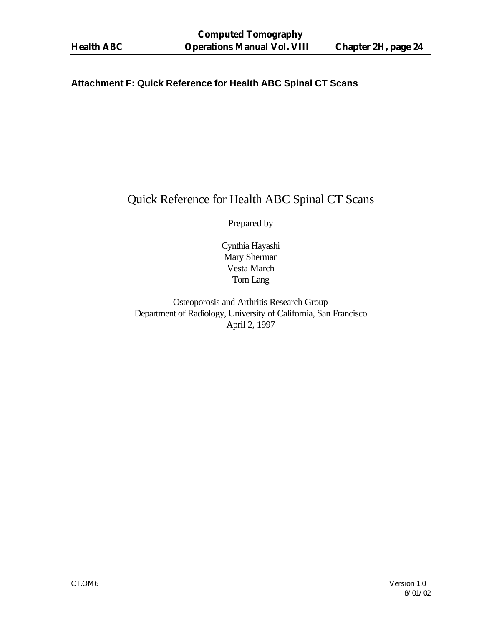#### **Attachment F: Quick Reference for Health ABC Spinal CT Scans**

# Quick Reference for Health ABC Spinal CT Scans

Prepared by

Cynthia Hayashi Mary Sherman Vesta March Tom Lang

Osteoporosis and Arthritis Research Group Department of Radiology, University of California, San Francisco April 2, 1997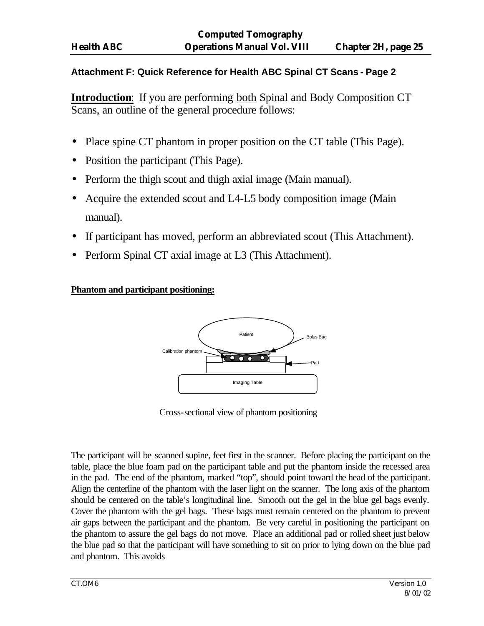### **Attachment F: Quick Reference for Health ABC Spinal CT Scans - Page 2**

**Introduction**: If you are performing both Spinal and Body Composition CT Scans, an outline of the general procedure follows:

- Place spine CT phantom in proper position on the CT table (This Page).
- Position the participant (This Page).
- Perform the thigh scout and thigh axial image (Main manual).
- Acquire the extended scout and L4-L5 body composition image (Main manual).
- If participant has moved, perform an abbreviated scout (This Attachment).
- Perform Spinal CT axial image at L3 (This Attachment).

### **Phantom and participant positioning:**



Cross-sectional view of phantom positioning

The participant will be scanned supine, feet first in the scanner. Before placing the participant on the table, place the blue foam pad on the participant table and put the phantom inside the recessed area in the pad. The end of the phantom, marked "top", should point toward the head of the participant. Align the centerline of the phantom with the laser light on the scanner. The long axis of the phantom should be centered on the table's longitudinal line. Smooth out the gel in the blue gel bags evenly. Cover the phantom with the gel bags. These bags must remain centered on the phantom to prevent air gaps between the participant and the phantom. Be very careful in positioning the participant on the phantom to assure the gel bags do not move. Place an additional pad or rolled sheet just below the blue pad so that the participant will have something to sit on prior to lying down on the blue pad and phantom. This avoids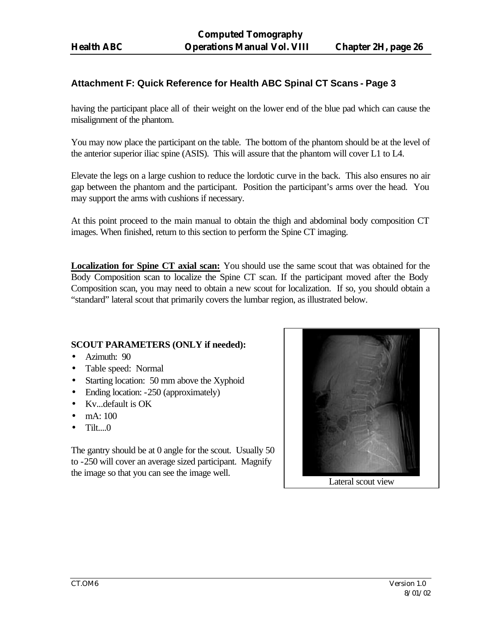#### **Attachment F: Quick Reference for Health ABC Spinal CT Scans - Page 3**

having the participant place all of their weight on the lower end of the blue pad which can cause the misalignment of the phantom.

You may now place the participant on the table. The bottom of the phantom should be at the level of the anterior superior iliac spine (ASIS). This will assure that the phantom will cover L1 to L4.

Elevate the legs on a large cushion to reduce the lordotic curve in the back. This also ensures no air gap between the phantom and the participant. Position the participant's arms over the head. You may support the arms with cushions if necessary.

At this point proceed to the main manual to obtain the thigh and abdominal body composition CT images. When finished, return to this section to perform the Spine CT imaging.

**Localization for Spine CT axial scan:** You should use the same scout that was obtained for the Body Composition scan to localize the Spine CT scan. If the participant moved after the Body Composition scan, you may need to obtain a new scout for localization. If so, you should obtain a "standard" lateral scout that primarily covers the lumbar region, as illustrated below.

#### **SCOUT PARAMETERS (ONLY if needed):**

- Azimuth: 90
- Table speed: Normal
- Starting location: 50 mm above the Xyphoid
- Ending location: -250 (approximately)
- Kv...default is OK
- mA: 100
- Tilt....0

The gantry should be at 0 angle for the scout. Usually 50 to -250 will cover an average sized participant. Magnify the image so that you can see the image well.